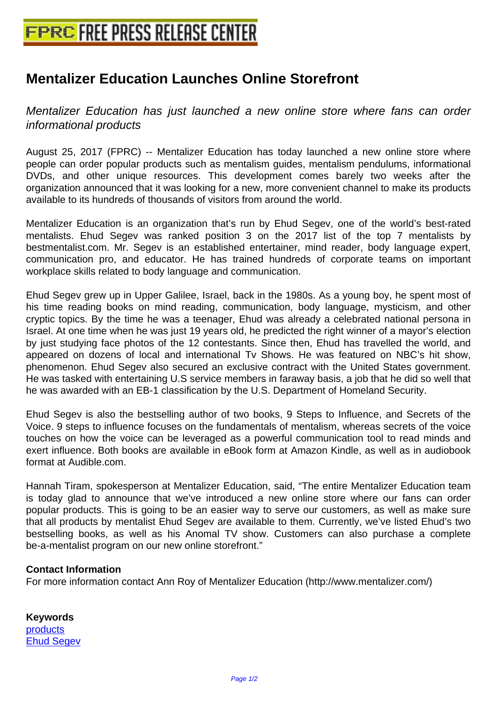## **[Mentalizer Education Launches On](http://www.free-press-release-center.info)line Storefront**

Mentalizer Education has just launched a new online store where fans can order informational products

August 25, 2017 (FPRC) -- Mentalizer Education has today launched a new online store where people can order popular products such as mentalism guides, mentalism pendulums, informational DVDs, and other unique resources. This development comes barely two weeks after the organization announced that it was looking for a new, more convenient channel to make its products available to its hundreds of thousands of visitors from around the world.

Mentalizer Education is an organization that's run by Ehud Segev, one of the world's best-rated mentalists. Ehud Segev was ranked position 3 on the 2017 list of the top 7 mentalists by bestmentalist.com. Mr. Segev is an established entertainer, mind reader, body language expert, communication pro, and educator. He has trained hundreds of corporate teams on important workplace skills related to body language and communication.

Ehud Segev grew up in Upper Galilee, Israel, back in the 1980s. As a young boy, he spent most of his time reading books on mind reading, communication, body language, mysticism, and other cryptic topics. By the time he was a teenager, Ehud was already a celebrated national persona in Israel. At one time when he was just 19 years old, he predicted the right winner of a mayor's election by just studying face photos of the 12 contestants. Since then, Ehud has travelled the world, and appeared on dozens of local and international Tv Shows. He was featured on NBC's hit show, phenomenon. Ehud Segev also secured an exclusive contract with the United States government. He was tasked with entertaining U.S service members in faraway basis, a job that he did so well that he was awarded with an EB-1 classification by the U.S. Department of Homeland Security.

Ehud Segev is also the bestselling author of two books, 9 Steps to Influence, and Secrets of the Voice. 9 steps to influence focuses on the fundamentals of mentalism, whereas secrets of the voice touches on how the voice can be leveraged as a powerful communication tool to read minds and exert influence. Both books are available in eBook form at Amazon Kindle, as well as in audiobook format at Audible.com.

Hannah Tiram, spokesperson at Mentalizer Education, said, "The entire Mentalizer Education team is today glad to announce that we've introduced a new online store where our fans can order popular products. This is going to be an easier way to serve our customers, as well as make sure that all products by mentalist Ehud Segev are available to them. Currently, we've listed Ehud's two bestselling books, as well as his Anomal TV show. Customers can also purchase a complete be-a-mentalist program on our new online storefront."

## **Contact Information**

For more information contact Ann Roy of Mentalizer Education (http://www.mentalizer.com/)

**Keywords** products Ehud Segev